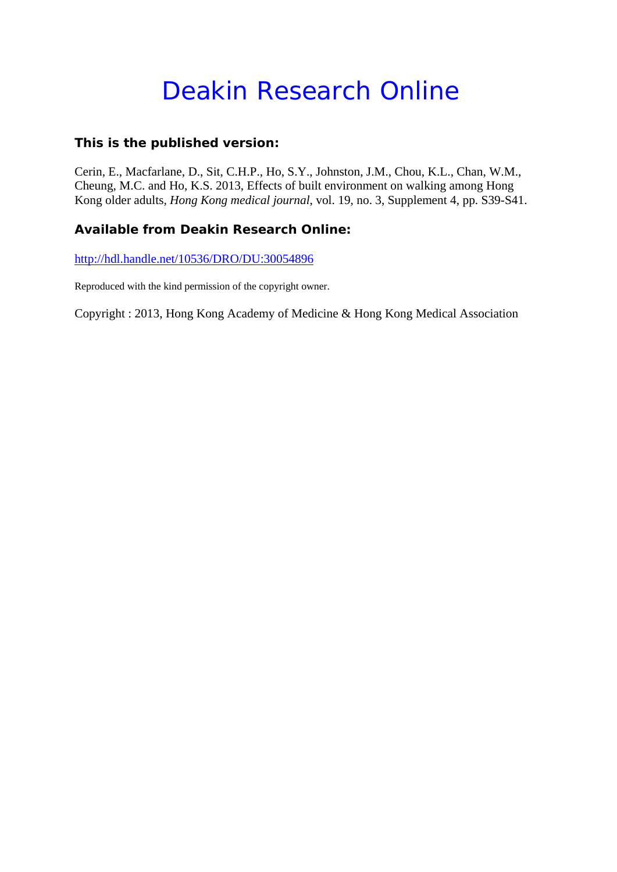# Deakin Research Online

### **This is the published version:**

Cerin, E., Macfarlane, D., Sit, C.H.P., Ho, S.Y., Johnston, J.M., Chou, K.L., Chan, W.M., Cheung, M.C. and Ho, K.S. 2013, Effects of built environment on walking among Hong Kong older adults*, Hong Kong medical journal*, vol. 19, no. 3, Supplement 4, pp. S39-S41.

## **Available from Deakin Research Online:**

http://hdl.handle.net/10536/DRO/DU:30054896

Reproduced with the kind permission of the copyright owner.

Copyright : 2013, Hong Kong Academy of Medicine & Hong Kong Medical Association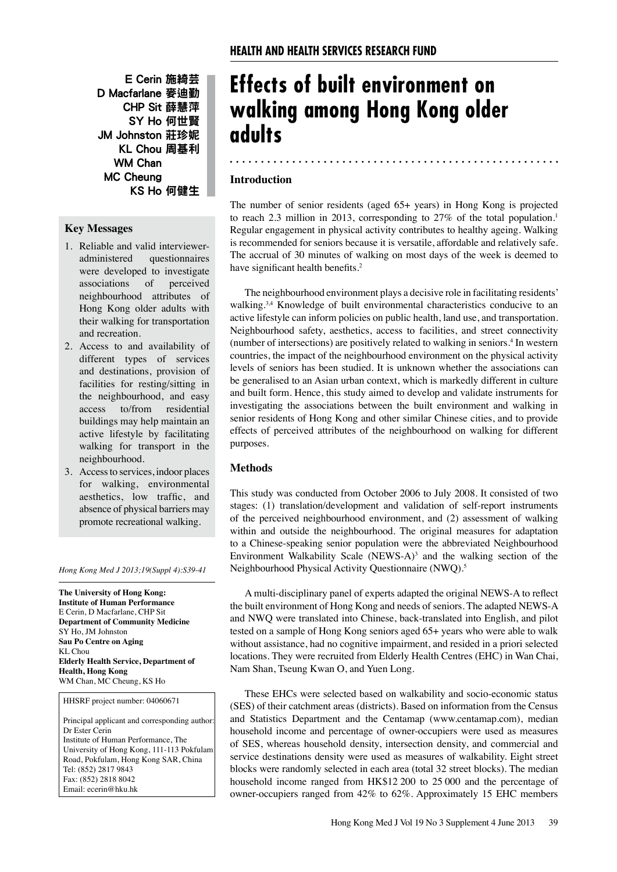E Cerin 施綺芸 D Macfarlane 麥迪勤 CHP Sit 薛慧萍 SY Ho 何世賢 JM Johnston 莊珍妮 KL Chou 周基利 WM Chan MC Cheung KS Ho 何健生

#### **Key Messages**

- 1. Reliable and valid intervieweradministered questionnaires were developed to investigate associations of perceived neighbourhood attributes of Hong Kong older adults with their walking for transportation and recreation.
- 2. Access to and availability of different types of services and destinations, provision of facilities for resting/sitting in the neighbourhood, and easy access to/from residential buildings may help maintain an active lifestyle by facilitating walking for transport in the neighbourhood.
- 3. Access to services, indoor places for walking, environmental aesthetics, low traffic, and absence of physical barriers may promote recreational walking.

*Hong Kong Med J 2013;19(Suppl 4):S39-41*

**The University of Hong Kong: Institute of Human Performance** E Cerin, D Macfarlane, CHP Sit **Department of Community Medicine**  SY Ho, JM Johnston **Sau Po Centre on Aging** KL Chou **Elderly Health Service, Department of Health, Hong Kong**  WM Chan, MC Cheung, KS Ho

HHSRF project number: 04060671

Principal applicant and corresponding author: Dr Ester Cerin Institute of Human Performance, The University of Hong Kong, 111-113 Pokfulam Road, Pokfulam, Hong Kong SAR, China Tel: (852) 2817 9843 Fax: (852) 2818 8042 Email: ecerin@hku.hk

# **Effects of built environment on walking among Hong Kong older adults**

#### **Introduction**

The number of senior residents (aged 65+ years) in Hong Kong is projected to reach 2.3 million in 2013, corresponding to 27% of the total population.<sup>1</sup> Regular engagement in physical activity contributes to healthy ageing. Walking is recommended for seniors because it is versatile, affordable and relatively safe. The accrual of 30 minutes of walking on most days of the week is deemed to have significant health benefits.<sup>2</sup>

The neighbourhood environment plays a decisive role in facilitating residents' walking.<sup>3,4</sup> Knowledge of built environmental characteristics conducive to an active lifestyle can inform policies on public health, land use, and transportation. Neighbourhood safety, aesthetics, access to facilities, and street connectivity (number of intersections) are positively related to walking in seniors.4 In western countries, the impact of the neighbourhood environment on the physical activity levels of seniors has been studied. It is unknown whether the associations can be generalised to an Asian urban context, which is markedly different in culture and built form. Hence, this study aimed to develop and validate instruments for investigating the associations between the built environment and walking in senior residents of Hong Kong and other similar Chinese cities, and to provide effects of perceived attributes of the neighbourhood on walking for different purposes.

#### **Methods**

This study was conducted from October 2006 to July 2008. It consisted of two stages: (1) translation/development and validation of self-report instruments of the perceived neighbourhood environment, and (2) assessment of walking within and outside the neighbourhood. The original measures for adaptation to a Chinese-speaking senior population were the abbreviated Neighbourhood Environment Walkability Scale (NEWS-A) $3$  and the walking section of the Neighbourhood Physical Activity Questionnaire (NWQ).5

A multi-disciplinary panel of experts adapted the original NEWS-A to reflect the built environment of Hong Kong and needs of seniors. The adapted NEWS-A and NWQ were translated into Chinese, back-translated into English, and pilot tested on a sample of Hong Kong seniors aged 65+ years who were able to walk without assistance, had no cognitive impairment, and resided in a priori selected locations. They were recruited from Elderly Health Centres (EHC) in Wan Chai, Nam Shan, Tseung Kwan O, and Yuen Long.

These EHCs were selected based on walkability and socio-economic status (SES) of their catchment areas (districts). Based on information from the Census and Statistics Department and the Centamap (www.centamap.com), median household income and percentage of owner-occupiers were used as measures of SES, whereas household density, intersection density, and commercial and service destinations density were used as measures of walkability. Eight street blocks were randomly selected in each area (total 32 street blocks). The median household income ranged from HK\$12 200 to 25 000 and the percentage of owner-occupiers ranged from 42% to 62%. Approximately 15 EHC members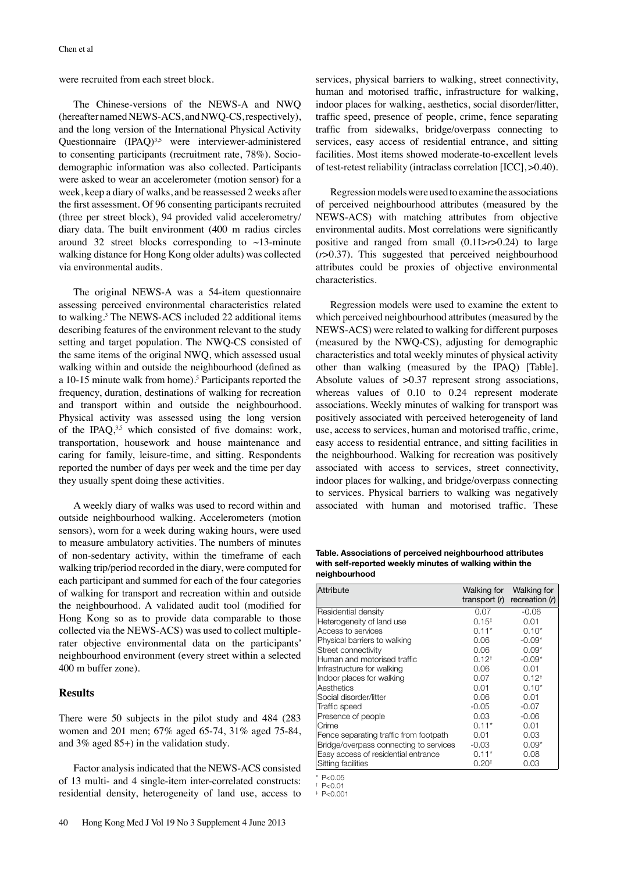were recruited from each street block.

The Chinese-versions of the NEWS-A and NWQ (hereafter named NEWS-ACS, and NWQ-CS, respectively), and the long version of the International Physical Activity Questionnaire  $(IPAQ)^{3,5}$  were interviewer-administered to consenting participants (recruitment rate, 78%). Sociodemographic information was also collected. Participants were asked to wear an accelerometer (motion sensor) for a week, keep a diary of walks, and be reassessed 2 weeks after the first assessment. Of 96 consenting participants recruited (three per street block), 94 provided valid accelerometry/ diary data. The built environment (400 m radius circles around 32 street blocks corresponding to  $\sim$ 13-minute walking distance for Hong Kong older adults) was collected via environmental audits.

The original NEWS-A was a 54-item questionnaire assessing perceived environmental characteristics related to walking.3 The NEWS-ACS included 22 additional items describing features of the environment relevant to the study setting and target population. The NWQ-CS consisted of the same items of the original NWQ, which assessed usual walking within and outside the neighbourhood (defined as a 10-15 minute walk from home).<sup>5</sup> Participants reported the frequency, duration, destinations of walking for recreation and transport within and outside the neighbourhood. Physical activity was assessed using the long version of the IPAQ, $3.5$  which consisted of five domains: work, transportation, housework and house maintenance and caring for family, leisure-time, and sitting. Respondents reported the number of days per week and the time per day they usually spent doing these activities.

A weekly diary of walks was used to record within and outside neighbourhood walking. Accelerometers (motion sensors), worn for a week during waking hours, were used to measure ambulatory activities. The numbers of minutes of non-sedentary activity, within the timeframe of each walking trip/period recorded in the diary, were computed for each participant and summed for each of the four categories of walking for transport and recreation within and outside the neighbourhood. A validated audit tool (modified for Hong Kong so as to provide data comparable to those collected via the NEWS-ACS) was used to collect multiplerater objective environmental data on the participants' neighbourhood environment (every street within a selected 400 m buffer zone).

#### **Results**

There were 50 subjects in the pilot study and 484 (283 women and 201 men; 67% aged 65-74, 31% aged 75-84, and 3% aged 85+) in the validation study.

Factor analysis indicated that the NEWS-ACS consisted of 13 multi- and 4 single-item inter-correlated constructs: residential density, heterogeneity of land use, access to services, physical barriers to walking, street connectivity, human and motorised traffic, infrastructure for walking, indoor places for walking, aesthetics, social disorder/litter, traffic speed, presence of people, crime, fence separating traffic from sidewalks, bridge/overpass connecting to services, easy access of residential entrance, and sitting facilities. Most items showed moderate-to-excellent levels of test-retest reliability (intraclass correlation [ICC], >0.40).

Regression models were used to examine the associations of perceived neighbourhood attributes (measured by the NEWS-ACS) with matching attributes from objective environmental audits. Most correlations were significantly positive and ranged from small (0.11>*r*>0.24) to large (*r*>0.37). This suggested that perceived neighbourhood attributes could be proxies of objective environmental characteristics.

Regression models were used to examine the extent to which perceived neighbourhood attributes (measured by the NEWS-ACS) were related to walking for different purposes (measured by the NWQ-CS), adjusting for demographic characteristics and total weekly minutes of physical activity other than walking (measured by the IPAQ) [Table]. Absolute values of  $>0.37$  represent strong associations, whereas values of 0.10 to 0.24 represent moderate associations. Weekly minutes of walking for transport was positively associated with perceived heterogeneity of land use, access to services, human and motorised traffic, crime, easy access to residential entrance, and sitting facilities in the neighbourhood. Walking for recreation was positively associated with access to services, street connectivity, indoor places for walking, and bridge/overpass connecting to services. Physical barriers to walking was negatively associated with human and motorised traffic. These

**Table. Associations of perceived neighbourhood attributes with self-reported weekly minutes of walking within the neighbourhood**

| Attribute                              | Walking for<br>transport $(r)$ | Walking for<br>recreation $(r)$ |
|----------------------------------------|--------------------------------|---------------------------------|
| Residential density                    | 0.07                           | $-0.06$                         |
| Heterogeneity of land use              | $0.15^{+}$                     | 0.01                            |
| Access to services                     | $0.11*$                        | $0.10*$                         |
| Physical barriers to walking           | 0.06                           | $-0.09*$                        |
| Street connectivity                    | 0.06                           | $0.09*$                         |
| Human and motorised traffic            | $0.12^{+}$                     | $-0.09*$                        |
| Infrastructure for walking             | 0.06                           | 0.01                            |
| Indoor places for walking              | 0.07                           | $0.12^{+}$                      |
| Aesthetics                             | 0.01                           | $0.10*$                         |
| Social disorder/litter                 | 0.06                           | 0.01                            |
| Traffic speed                          | $-0.05$                        | $-0.07$                         |
| Presence of people                     | 0.03                           | $-0.06$                         |
| Crime                                  | $0.11*$                        | 0.01                            |
| Fence separating traffic from footpath | 0.01                           | 0.03                            |
| Bridge/overpass connecting to services | $-0.03$                        | $0.09*$                         |
| Easy access of residential entrance    | $0.11*$                        | 0.08                            |
| Sitting facilities                     | 0.20 <sup>‡</sup>              | 0.03                            |

 $P < 0.05$ 

 $P < 0.01$ 

 $p < 0.001$